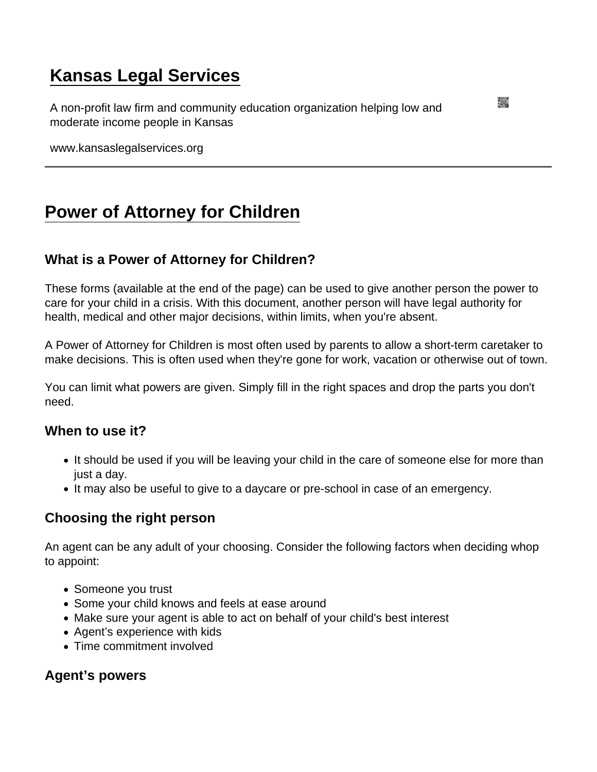# [Kansas Legal Services](https://www.kansaslegalservices.org/)

A non-profit law firm and community education organization helping low and moderate income people in Kansas

www.kansaslegalservices.org

## [Power of Attorney for Children](https://www.kansaslegalservices.org/node/174/power-attorney-children)

## What is a Power of Attorney for Children?

These forms (available at the end of the page) can be used to give another person the power to care for your child in a crisis. With this document, another person will have legal authority for health, medical and other major decisions, within limits, when you're absent.

A Power of Attorney for Children is most often used by parents to allow a short-term caretaker to make decisions. This is often used when they're gone for work, vacation or otherwise out of town.

You can limit what powers are given. Simply fill in the right spaces and drop the parts you don't need.

When to use it?

- It should be used if you will be leaving your child in the care of someone else for more than just a day.
- It may also be useful to give to a daycare or pre-school in case of an emergency.

### Choosing the right person

An agent can be any adult of your choosing. Consider the following factors when deciding whop to appoint:

- Someone you trust
- Some your child knows and feels at ease around
- Make sure your agent is able to act on behalf of your child's best interest
- Agent's experience with kids
- Time commitment involved

Agent's powers